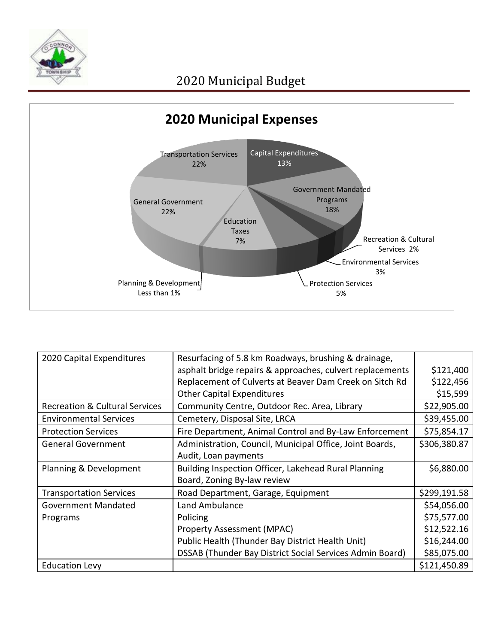



| 2020 Capital Expenditures                 | Resurfacing of 5.8 km Roadways, brushing & drainage,      |              |
|-------------------------------------------|-----------------------------------------------------------|--------------|
|                                           | asphalt bridge repairs & approaches, culvert replacements | \$121,400    |
|                                           | Replacement of Culverts at Beaver Dam Creek on Sitch Rd   | \$122,456    |
|                                           | <b>Other Capital Expenditures</b>                         | \$15,599     |
| <b>Recreation &amp; Cultural Services</b> | Community Centre, Outdoor Rec. Area, Library              | \$22,905.00  |
| <b>Environmental Services</b>             | Cemetery, Disposal Site, LRCA                             | \$39,455.00  |
| <b>Protection Services</b>                | Fire Department, Animal Control and By-Law Enforcement    | \$75,854.17  |
| <b>General Government</b>                 | Administration, Council, Municipal Office, Joint Boards,  | \$306,380.87 |
|                                           | Audit, Loan payments                                      |              |
| Planning & Development                    | Building Inspection Officer, Lakehead Rural Planning      | \$6,880.00   |
|                                           | Board, Zoning By-law review                               |              |
| <b>Transportation Services</b>            | Road Department, Garage, Equipment                        | \$299,191.58 |
| <b>Government Mandated</b>                | Land Ambulance                                            | \$54,056.00  |
| Programs                                  | Policing                                                  | \$75,577.00  |
|                                           | <b>Property Assessment (MPAC)</b>                         | \$12,522.16  |
|                                           | Public Health (Thunder Bay District Health Unit)          | \$16,244.00  |
|                                           | DSSAB (Thunder Bay District Social Services Admin Board)  | \$85,075.00  |
| <b>Education Levy</b>                     |                                                           | \$121,450.89 |